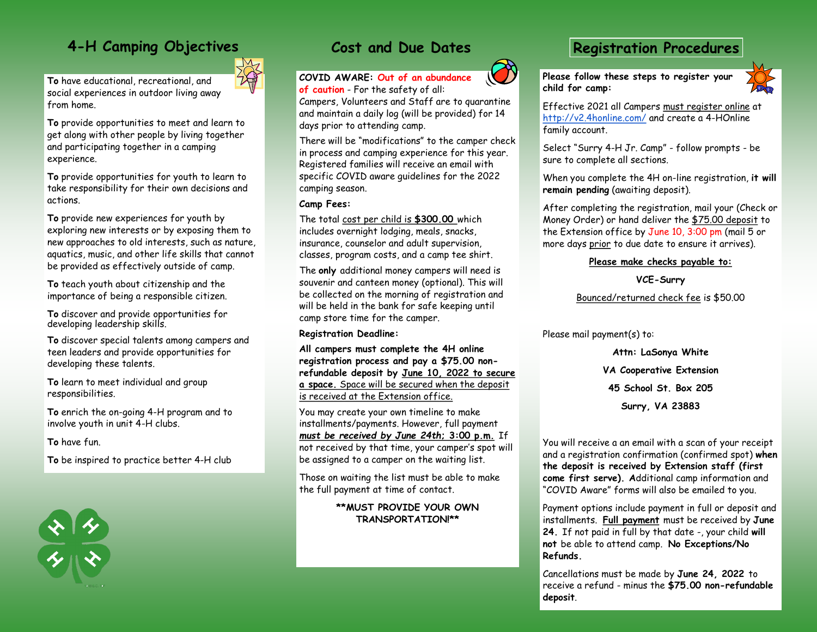# **4-H Camping Objectives**

**To** have educational, recreational, and social experiences in outdoor living away from home.

**To** provide opportunities to meet and learn to get along with other people by living together and participating together in a camping experience.

**To** provide opportunities for youth to learn to take responsibility for their own decisions and actions.

**To** provide new experiences for youth by exploring new interests or by exposing them to new approaches to old interests, such as nature, aquatics, music, and other life skills that cannot be provided as effectively outside of camp.

**To** teach youth about citizenship and the importance of being a responsible citizen.

**To** discover and provide opportunities for developing leadership skills.

**To** discover special talents among campers and teen leaders and provide opportunities for developing these talents.

**To** learn to meet individual and group responsibilities.

**To** enrich the on-going 4-H program and to involve youth in unit 4-H clubs.

**To** have fun.

**To** be inspired to practice better 4-H club



## **Cost and Due Dates**

**COVID AWARE: Out of an abundance** 

**of caution** - For the safety of all:

Campers, Volunteers and Staff are to quarantine and maintain a daily log (will be provided) for 14 days prior to attending camp.

There will be "modifications" to the camper check in process and camping experience for this year. Registered families will receive an email with specific COVID aware guidelines for the 2022 camping season.

### **Camp Fees:**

The total cost per child is **\$300.00** which includes overnight lodging, meals, snacks, insurance, counselor and adult supervision, classes, program costs, and a camp tee shirt.

The **only** additional money campers will need is souvenir and canteen money (optional). This will be collected on the morning of registration and will be held in the bank for safe keeping until camp store time for the camper.

**Registration Deadline:** 

**All campers must complete the 4H online registration process and pay a \$75.00 nonrefundable deposit by June 10, 2022 to secure a space.** Space will be secured when the deposit is received at the Extension office.

You may create your own timeline to make installments/payments. However, full payment *must be received by June 24th***; 3:00 p.m.** If not received by that time, your camper's spot will be assigned to a camper on the waiting list.

Those on waiting the list must be able to make the full payment at time of contact.

### **\*\*MUST PROVIDE YOUR OWN TRANSPORTATION!\*\***

### **Registration Procedures**

**Please follow these steps to register your child for camp:**



Effective 2021 all Campers must register online at <http://v2.4honline.com/> and create a 4-HOnline family account.

Select "Surry 4-H Jr. Camp" - follow prompts - be sure to complete all sections.

When you complete the 4H on-line registration, **it will remain pending** (awaiting deposit).

After completing the registration, mail your (Check or Money Order) or hand deliver the \$75.00 deposit to the Extension office by June 10, 3:00 pm (mail 5 or more days prior to due date to ensure it arrives).

### **Please make checks payable to:**

**VCE-Surry**

Bounced/returned check fee is \$50.00

Please mail payment(s) to:

**Attn: LaSonya White VA Cooperative Extension 45 School St. Box 205 Surry, VA 23883**

You will receive a an email with a scan of your receipt and a registration confirmation (confirmed spot) **when the deposit is received by Extension staff (first come first serve). A**dditional camp information and "COVID Aware" forms will also be emailed to you.

Payment options include payment in full or deposit and installments. **Full payment** must be received by **June 24.** If not paid in full by that date -, your child **will not** be able to attend camp. **No Exceptions/No Refunds.**

Cancellations must be made by **June 24, 2022** to receive a refund - minus the **\$75.00 non-refundable deposit**.

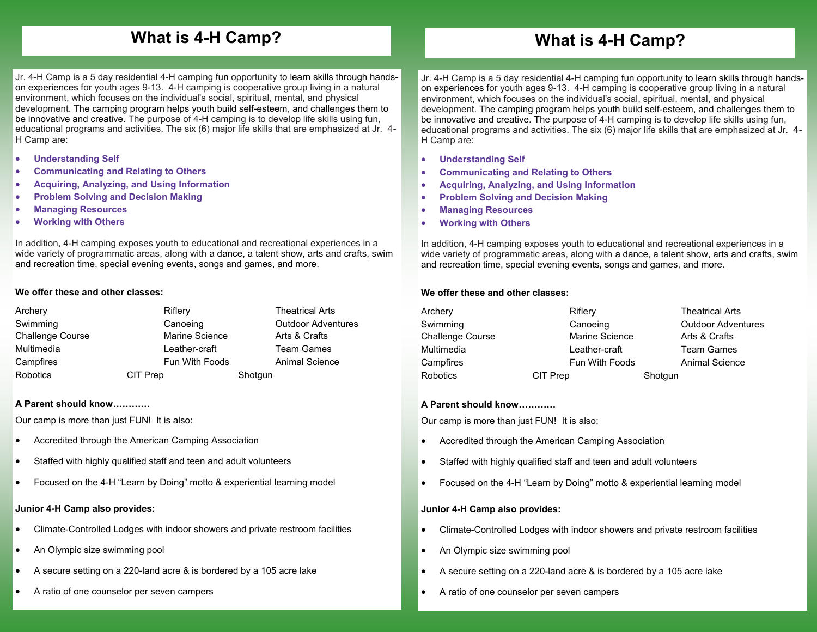## **What is 4-H Camp?**

## **What is 4-H Camp?**

Jr. 4-H Camp is a 5 day residential 4-H camping fun opportunity to learn skills through handson experiences for youth ages 9-13. 4-H camping is cooperative group living in a natural environment, which focuses on the individual's social, spiritual, mental, and physical development. The camping program helps youth build self-esteem, and challenges them to be innovative and creative. The purpose of 4-H camping is to develop life skills using fun, educational programs and activities. The six (6) major life skills that are emphasized at Jr. 4- H Camp are:

- **Understanding Self**
- **Communicating and Relating to Others**
- **Acquiring, Analyzing, and Using Information**
- **Problem Solving and Decision Making**
- **Managing Resources**
- **Working with Others**

In addition, 4-H camping exposes youth to educational and recreational experiences in a wide variety of programmatic areas, along with a dance, a talent show, arts and crafts, swim and recreation time, special evening events, songs and games, and more.

#### **We offer these and other classes:**

| Archery                 | Riflery        | <b>Theatrical Arts</b>    |
|-------------------------|----------------|---------------------------|
| Swimming                | Canoeing       | <b>Outdoor Adventures</b> |
| <b>Challenge Course</b> | Marine Science | Arts & Crafts             |
| Multimedia              | Leather-craft  | <b>Team Games</b>         |
| Campfires               | Fun With Foods | Animal Science            |
| Robotics                | CIT Prep       | Shotgun                   |

#### **A Parent should know…………**

Our camp is more than just FUN! It is also:

- Accredited through the American Camping Association
- Staffed with highly qualified staff and teen and adult volunteers
- Focused on the 4-H "Learn by Doing" motto & experiential learning model

### **Junior 4-H Camp also provides:**

- Climate-Controlled Lodges with indoor showers and private restroom facilities
- An Olympic size swimming pool
- A secure setting on a 220-land acre & is bordered by a 105 acre lake
- A ratio of one counselor per seven campers

Jr. 4-H Camp is a 5 day residential 4-H camping fun opportunity to learn skills through handson experiences for youth ages 9-13. 4-H camping is cooperative group living in a natural environment, which focuses on the individual's social, spiritual, mental, and physical development. The camping program helps youth build self-esteem, and challenges them to be innovative and creative. The purpose of 4-H camping is to develop life skills using fun, educational programs and activities. The six (6) major life skills that are emphasized at Jr. 4- H Camp are:

- **Understanding Self**
- **Communicating and Relating to Others**
- **Acquiring, Analyzing, and Using Information**
- **Problem Solving and Decision Making**
- **Managing Resources**
- **Working with Others**

In addition, 4-H camping exposes youth to educational and recreational experiences in a wide variety of programmatic areas, along with a dance, a talent show, arts and crafts, swim and recreation time, special evening events, songs and games, and more.

#### **We offer these and other classes:**

| Archery          | Riflery               |         | <b>Theatrical Arts</b>    |
|------------------|-----------------------|---------|---------------------------|
| Swimming         | Canoeing              |         | <b>Outdoor Adventures</b> |
| Challenge Course | <b>Marine Science</b> |         | Arts & Crafts             |
| Multimedia       | Leather-craft         |         | <b>Team Games</b>         |
| Campfires        | <b>Fun With Foods</b> |         | <b>Animal Science</b>     |
| <b>Robotics</b>  | CIT Prep              | Shotgun |                           |

#### **A Parent should know…………**

Our camp is more than just FUN! It is also:

- Accredited through the American Camping Association
- Staffed with highly qualified staff and teen and adult volunteers
- Focused on the 4-H "Learn by Doing" motto & experiential learning model

#### **Junior 4-H Camp also provides:**

- Climate-Controlled Lodges with indoor showers and private restroom facilities
- An Olympic size swimming pool
- A secure setting on a 220-land acre & is bordered by a 105 acre lake
- A ratio of one counselor per seven campers